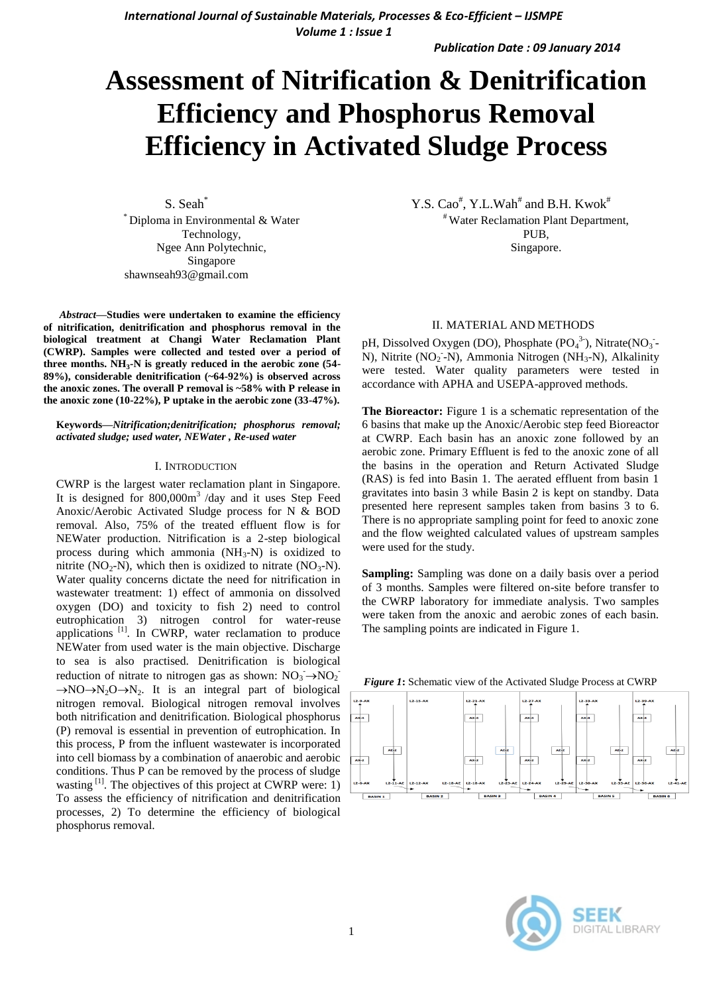*International Journal of Sustainable Materials, Processes & Eco-Efficient – IJSMPE Volume 1 : Issue 1*

*Publication Date : 09 January 2014*

# **Assessment of Nitrification & Denitrification Efficiency and Phosphorus Removal Efficiency in Activated Sludge Process**

S. Seah\* \* Diploma in Environmental & Water Technology, Ngee Ann Polytechnic, Singapore shawnseah93@gmail.com

*Abstract***—Studies were undertaken to examine the efficiency of nitrification, denitrification and phosphorus removal in the biological treatment at Changi Water Reclamation Plant (CWRP). Samples were collected and tested over a period of three months. NH<sup>3</sup> -N is greatly reduced in the aerobic zone (54- 89%), considerable denitrification (~64-92%) is observed across the anoxic zones. The overall P removal is ~58% with P release in the anoxic zone (10-22%), P uptake in the aerobic zone (33-47%).**

## **Keywords—***Nitrification;denitrification; phosphorus removal; activated sludge; used water, NEWater , Re-used water*

#### I. INTRODUCTION

CWRP is the largest water reclamation plant in Singapore. It is designed for 800,000m<sup>3</sup>/day and it uses Step Feed Anoxic/Aerobic Activated Sludge process for N & BOD removal. Also, 75% of the treated effluent flow is for NEWater production. Nitrification is a 2-step biological process during which ammonia  $(NH_3-N)$  is oxidized to nitrite (NO<sub>2</sub>-N), which then is oxidized to nitrate (NO<sub>3</sub>-N). Water quality concerns dictate the need for nitrification in wastewater treatment: 1) effect of ammonia on dissolved oxygen (DO) and toxicity to fish 2) need to control eutrophication 3) nitrogen control for water-reuse applications <sup>[1]</sup>. In CWRP, water reclamation to produce NEWater from used water is the main objective. Discharge to sea is also practised. Denitrification is biological reduction of nitrate to nitrogen gas as shown:  $NO_3 \rightarrow NO_2$ <sup>-</sup>  $\rightarrow$ NO $\rightarrow$ N<sub>2</sub>O $\rightarrow$ N<sub>2</sub>. It is an integral part of biological nitrogen removal. Biological nitrogen removal involves both nitrification and denitrification. Biological phosphorus (P) removal is essential in prevention of eutrophication. In this process, P from the influent wastewater is incorporated into cell biomass by a combination of anaerobic and aerobic conditions. Thus P can be removed by the process of sludge wasting  $[1]$ . The objectives of this project at CWRP were: 1) To assess the efficiency of nitrification and denitrification processes, 2) To determine the efficiency of biological phosphorus removal.

Y.S. Cao<sup>#</sup>, Y.L.Wah<sup>#</sup> and B.H. Kwok<sup>#</sup> # Water Reclamation Plant Department, PUB, Singapore.

# II. MATERIAL AND METHODS

pH, Dissolved Oxygen (DO), Phosphate  $(PO_4^3)$ , Nitrate $(NO_3^-$ N), Nitrite (NO<sub>2</sub> - N), Ammonia Nitrogen (NH<sub>3</sub>-N), Alkalinity were tested. Water quality parameters were tested in accordance with APHA and USEPA-approved methods.

**The Bioreactor:** Figure 1 is a schematic representation of the 6 basins that make up the Anoxic/Aerobic step feed Bioreactor at CWRP. Each basin has an anoxic zone followed by an aerobic zone. Primary Effluent is fed to the anoxic zone of all the basins in the operation and Return Activated Sludge (RAS) is fed into Basin 1. The aerated effluent from basin 1 gravitates into basin 3 while Basin 2 is kept on standby. Data presented here represent samples taken from basins 3 to 6. There is no appropriate sampling point for feed to anoxic zone and the flow weighted calculated values of upstream samples were used for the study.

**Sampling:** Sampling was done on a daily basis over a period of 3 months. Samples were filtered on-site before transfer to the CWRP laboratory for immediate analysis. Two samples were taken from the anoxic and aerobic zones of each basin. The sampling points are indicated in Figure 1.